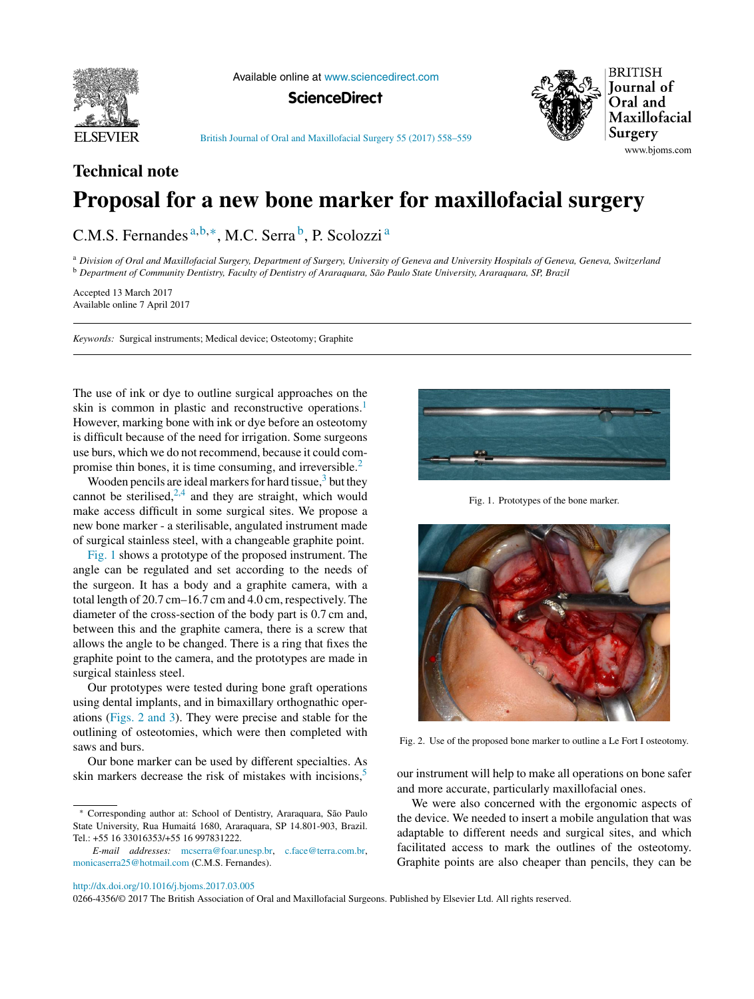

Available online at [www.sciencedirect.com](http://www.sciencedirect.com/science/journal/02664356)

**ScienceDirect**



British Journal of Oral and [Maxillofacial](dx.doi.org/10.1016/j.bjoms.2017.03.005) Surgery 55 (2017) 558–559

# **Technical note Proposal for a new bone marker for maxillofacial surgery**

C.M.S. Fernandes a, b, \*, M.C. Serra <sup>b</sup>, P. Scolozzi <sup>a</sup>

<sup>a</sup> Division of Oral and Maxillofacial Surgery, Department of Surgery, University of Geneva and University Hospitals of Geneva, Geneva, Switzerland <sup>b</sup> Department of Community Dentistry, Faculty of Dentistry of Araraguara, São Paulo State University, Araraguara, SP, Brazil

Accepted 13 March 2017 Available online 7 April 2017

*Keywords:* Surgical instruments; Medical device; Osteotomy; Graphite

The use of ink or dye to outline surgical approaches on the skin is common in plastic and reconstructive operations.<sup>[1](#page-1-0)</sup> However, marking bone with ink or dye before an osteotomy is difficult because of the need for irrigation. Some surgeons use burs, which we do not recommend, because it could compromise thin bones, it is time consuming, and irreversible.[2](#page-1-0)

Wooden pencils are ideal markers for hard tissue, $3$  but they cannot be sterilised, $2,4$  and they are straight, which would make access difficult in some surgical sites. We propose a new bone marker - a sterilisable, angulated instrument made of surgical stainless steel, with a changeable graphite point.

Fig. 1 shows a prototype of the proposed instrument. The angle can be regulated and set according to the needs of the surgeon. It has a body and a graphite camera, with a total length of 20.7 cm–16.7 cm and 4.0 cm, respectively. The diameter of the cross-section of the body part is 0.7 cm and, between this and the graphite camera, there is a screw that allows the angle to be changed. There is a ring that fixes the graphite point to the camera, and the prototypes are made in surgical stainless steel.

Our prototypes were tested during bone graft operations using dental implants, and in bimaxillary orthognathic operations (Figs. 2 and 3). They were precise and stable for the outlining of osteotomies, which were then completed with saws and burs.

Our bone marker can be used by different specialties. As skin markers decrease the risk of mistakes with incisions,<sup>[5](#page-1-0)</sup>



Fig. 1. Prototypes of the bone marker.



Fig. 2. Use of the proposed bone marker to outline a Le Fort I osteotomy.

our instrument will help to make all operations on bone safer and more accurate, particularly maxillofacial ones.

We were also concerned with the ergonomic aspects of the device. We needed to insert a mobile angulation that was adaptable to different needs and surgical sites, and which facilitated access to mark the outlines of the osteotomy. Graphite points are also cheaper than pencils, they can be

0266-4356/© 2017 The British Association of Oral and Maxillofacial Surgeons. Published by Elsevier Ltd. All rights reserved.

<sup>∗</sup> Corresponding author at: School of Dentistry, Araraquara, São Paulo State University, Rua Humaitá 1680, Araraquara, SP 14.801-903, Brazil. Tel.: +55 16 33016353/+55 16 997831222.

*E-mail addresses:* [mcserra@foar.unesp.br,](mailto:mcserra@foar.unesp.br) [c.face@terra.com.br,](mailto:c.face@terra.com.br) [monicaserra25@hotmail.com](mailto:monicaserra25@hotmail.com) (C.M.S. Fernandes).

[http://dx.doi.org/10.1016/j.bjoms.2017.03.005](dx.doi.org/10.1016/j.bjoms.2017.03.005)